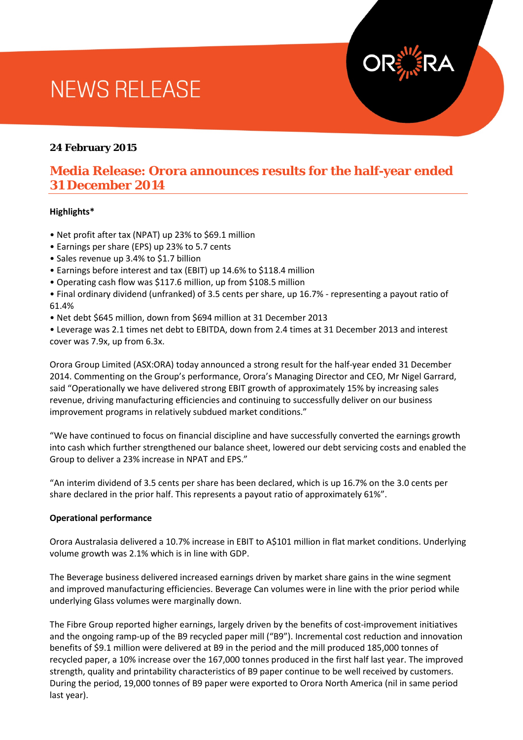# **NEWS RELEASE**

#### **24 February 2015**

### **Media Release: Orora announces results for the half-year ended 31 December 2014**

#### **Highlights\***

- Net profit after tax (NPAT) up 23% to \$69.1 million
- Earnings per share (EPS) up 23% to 5.7 cents
- Sales revenue up 3.4% to \$1.7 billion
- Earnings before interest and tax (EBIT) up 14.6% to \$118.4 million
- Operating cash flow was \$117.6 million, up from \$108.5 million
- Final ordinary dividend (unfranked) of 3.5 cents per share, up 16.7% representing a payout ratio of 61.4%
- Net debt \$645 million, down from \$694 million at 31 December 2013

• Leverage was 2.1 times net debt to EBITDA, down from 2.4 times at 31 December 2013 and interest cover was 7.9x, up from 6.3x.

Orora Group Limited (ASX:ORA) today announced a strong result for the half-year ended 31 December 2014. Commenting on the Group's performance, Orora's Managing Director and CEO, Mr Nigel Garrard, said "Operationally we have delivered strong EBIT growth of approximately 15% by increasing sales revenue, driving manufacturing efficiencies and continuing to successfully deliver on our business improvement programs in relatively subdued market conditions."

"We have continued to focus on financial discipline and have successfully converted the earnings growth into cash which further strengthened our balance sheet, lowered our debt servicing costs and enabled the Group to deliver a 23% increase in NPAT and EPS."

"An interim dividend of 3.5 cents per share has been declared, which is up 16.7% on the 3.0 cents per share declared in the prior half. This represents a payout ratio of approximately 61%".

#### **Operational performance**

Orora Australasia delivered a 10.7% increase in EBIT to A\$101 million in flat market conditions. Underlying volume growth was 2.1% which is in line with GDP.

The Beverage business delivered increased earnings driven by market share gains in the wine segment and improved manufacturing efficiencies. Beverage Can volumes were in line with the prior period while underlying Glass volumes were marginally down.

The Fibre Group reported higher earnings, largely driven by the benefits of cost-improvement initiatives and the ongoing ramp-up of the B9 recycled paper mill ("B9"). Incremental cost reduction and innovation benefits of \$9.1 million were delivered at B9 in the period and the mill produced 185,000 tonnes of recycled paper, a 10% increase over the 167,000 tonnes produced in the first half last year. The improved strength, quality and printability characteristics of B9 paper continue to be well received by customers. During the period, 19,000 tonnes of B9 paper were exported to Orora North America (nil in same period last year).